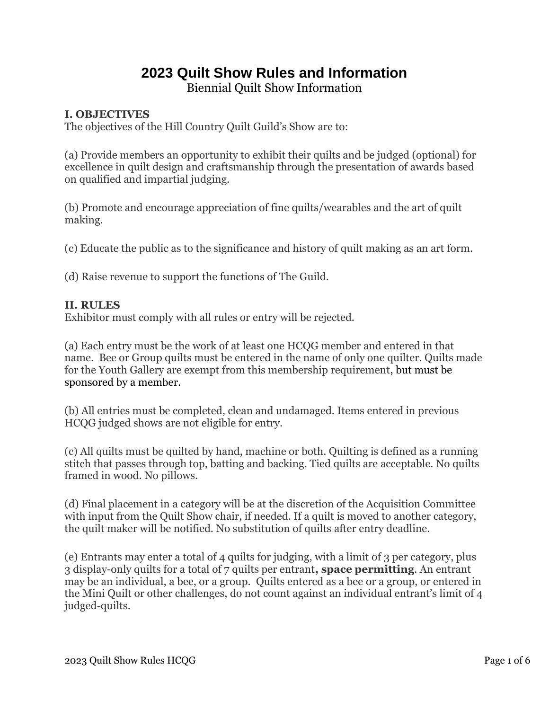# **2023 Quilt Show Rules and Information**

Biennial Quilt Show Information

# **I. OBJECTIVES**

The objectives of the Hill Country Quilt Guild's Show are to:

(a) Provide members an opportunity to exhibit their quilts and be judged (optional) for excellence in quilt design and craftsmanship through the presentation of awards based on qualified and impartial judging.

(b) Promote and encourage appreciation of fine quilts/wearables and the art of quilt making.

(c) Educate the public as to the significance and history of quilt making as an art form.

(d) Raise revenue to support the functions of The Guild.

### **II. RULES**

Exhibitor must comply with all rules or entry will be rejected.

(a) Each entry must be the work of at least one HCQG member and entered in that name. Bee or Group quilts must be entered in the name of only one quilter. Quilts made for the Youth Gallery are exempt from this membership requirement, but must be sponsored by a member.

(b) All entries must be completed, clean and undamaged. Items entered in previous HCQG judged shows are not eligible for entry.

(c) All quilts must be quilted by hand, machine or both. Quilting is defined as a running stitch that passes through top, batting and backing. Tied quilts are acceptable. No quilts framed in wood. No pillows.

(d) Final placement in a category will be at the discretion of the Acquisition Committee with input from the Quilt Show chair, if needed. If a quilt is moved to another category, the quilt maker will be notified. No substitution of quilts after entry deadline.

(e) Entrants may enter a total of 4 quilts for judging, with a limit of 3 per category, plus 3 display-only quilts for a total of 7 quilts per entrant**, space permitting**. An entrant may be an individual, a bee, or a group. Quilts entered as a bee or a group, or entered in the Mini Quilt or other challenges, do not count against an individual entrant's limit of 4 judged-quilts.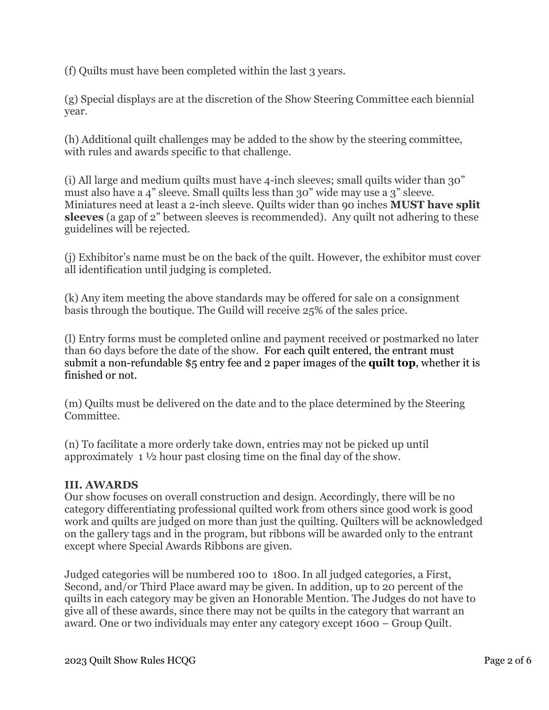(f) Quilts must have been completed within the last 3 years.

(g) Special displays are at the discretion of the Show Steering Committee each biennial year.

(h) Additional quilt challenges may be added to the show by the steering committee, with rules and awards specific to that challenge.

(i) All large and medium quilts must have 4-inch sleeves; small quilts wider than 30" must also have a 4" sleeve. Small quilts less than 30" wide may use a 3" sleeve. Miniatures need at least a 2-inch sleeve. Quilts wider than 90 inches **MUST have split sleeves** (a gap of 2" between sleeves is recommended). Any quilt not adhering to these guidelines will be rejected.

(j) Exhibitor's name must be on the back of the quilt. However, the exhibitor must cover all identification until judging is completed.

(k) Any item meeting the above standards may be offered for sale on a consignment basis through the boutique. The Guild will receive 25% of the sales price.

(l) Entry forms must be completed online and payment received or postmarked no later than 60 days before the date of the show. For each quilt entered, the entrant must submit a non-refundable \$5 entry fee and 2 paper images of the **quilt top**, whether it is finished or not.

(m) Quilts must be delivered on the date and to the place determined by the Steering Committee.

(n) To facilitate a more orderly take down, entries may not be picked up until approximately 1 ½ hour past closing time on the final day of the show.

## **III. AWARDS**

Our show focuses on overall construction and design. Accordingly, there will be no category differentiating professional quilted work from others since good work is good work and quilts are judged on more than just the quilting. Quilters will be acknowledged on the gallery tags and in the program, but ribbons will be awarded only to the entrant except where Special Awards Ribbons are given.

Judged categories will be numbered 100 to 1800. In all judged categories, a First, Second, and/or Third Place award may be given. In addition, up to 20 percent of the quilts in each category may be given an Honorable Mention. The Judges do not have to give all of these awards, since there may not be quilts in the category that warrant an award. One or two individuals may enter any category except 1600 – Group Quilt.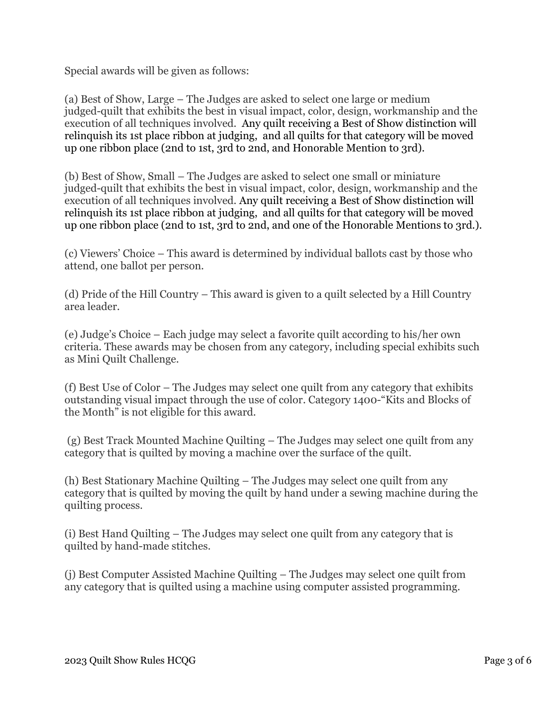Special awards will be given as follows:

(a) Best of Show, Large – The Judges are asked to select one large or medium judged-quilt that exhibits the best in visual impact, color, design, workmanship and the execution of all techniques involved. Any quilt receiving a Best of Show distinction will relinquish its 1st place ribbon at judging, and all quilts for that category will be moved up one ribbon place (2nd to 1st, 3rd to 2nd, and Honorable Mention to 3rd).

(b) Best of Show, Small – The Judges are asked to select one small or miniature judged-quilt that exhibits the best in visual impact, color, design, workmanship and the execution of all techniques involved. Any quilt receiving a Best of Show distinction will relinquish its 1st place ribbon at judging, and all quilts for that category will be moved up one ribbon place (2nd to 1st, 3rd to 2nd, and one of the Honorable Mentions to 3rd.).

(c) Viewers' Choice – This award is determined by individual ballots cast by those who attend, one ballot per person.

(d) Pride of the Hill Country – This award is given to a quilt selected by a Hill Country area leader.

(e) Judge's Choice – Each judge may select a favorite quilt according to his/her own criteria. These awards may be chosen from any category, including special exhibits such as Mini Quilt Challenge.

(f) Best Use of Color – The Judges may select one quilt from any category that exhibits outstanding visual impact through the use of color. Category 1400-"Kits and Blocks of the Month" is not eligible for this award.

(g) Best Track Mounted Machine Quilting – The Judges may select one quilt from any category that is quilted by moving a machine over the surface of the quilt.

(h) Best Stationary Machine Quilting – The Judges may select one quilt from any category that is quilted by moving the quilt by hand under a sewing machine during the quilting process.

(i) Best Hand Quilting – The Judges may select one quilt from any category that is quilted by hand-made stitches.

(j) Best Computer Assisted Machine Quilting – The Judges may select one quilt from any category that is quilted using a machine using computer assisted programming.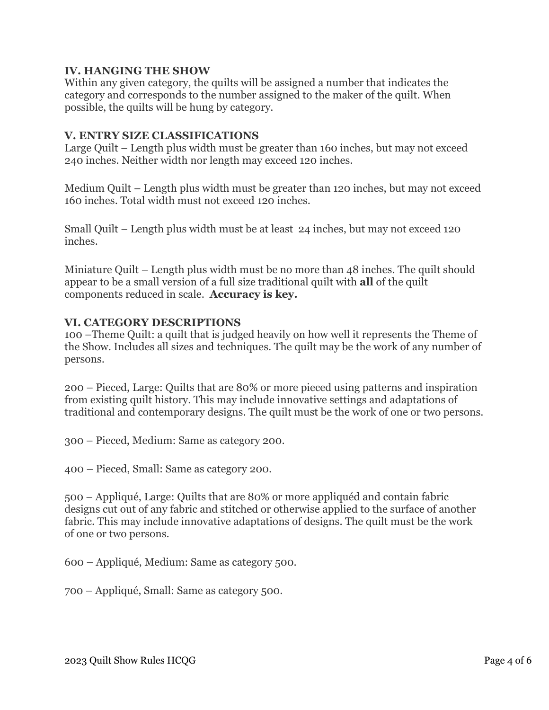### **IV. HANGING THE SHOW**

Within any given category, the quilts will be assigned a number that indicates the category and corresponds to the number assigned to the maker of the quilt. When possible, the quilts will be hung by category.

#### **V. ENTRY SIZE CLASSIFICATIONS**

Large Quilt – Length plus width must be greater than 160 inches, but may not exceed 240 inches. Neither width nor length may exceed 120 inches.

Medium Quilt – Length plus width must be greater than 120 inches, but may not exceed 160 inches. Total width must not exceed 120 inches.

Small Quilt – Length plus width must be at least 24 inches, but may not exceed 120 inches.

Miniature Quilt – Length plus width must be no more than 48 inches. The quilt should appear to be a small version of a full size traditional quilt with **all** of the quilt components reduced in scale. **Accuracy is key.**

#### **VI. CATEGORY DESCRIPTIONS**

100 –Theme Quilt: a quilt that is judged heavily on how well it represents the Theme of the Show. Includes all sizes and techniques. The quilt may be the work of any number of persons.

200 – Pieced, Large: Quilts that are 80% or more pieced using patterns and inspiration from existing quilt history. This may include innovative settings and adaptations of traditional and contemporary designs. The quilt must be the work of one or two persons.

300 – Pieced, Medium: Same as category 200.

400 – Pieced, Small: Same as category 200.

500 – Appliqué, Large: Quilts that are 80% or more appliquéd and contain fabric designs cut out of any fabric and stitched or otherwise applied to the surface of another fabric. This may include innovative adaptations of designs. The quilt must be the work of one or two persons.

600 – Appliqué, Medium: Same as category 500.

700 – Appliqué, Small: Same as category 500.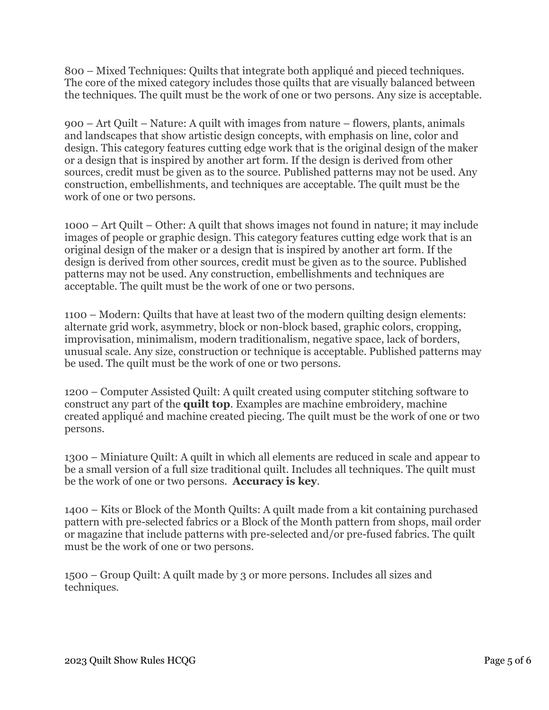800 – Mixed Techniques: Quilts that integrate both appliqué and pieced techniques. The core of the mixed category includes those quilts that are visually balanced between the techniques. The quilt must be the work of one or two persons. Any size is acceptable.

900 – Art Quilt – Nature: A quilt with images from nature – flowers, plants, animals and landscapes that show artistic design concepts, with emphasis on line, color and design. This category features cutting edge work that is the original design of the maker or a design that is inspired by another art form. If the design is derived from other sources, credit must be given as to the source. Published patterns may not be used. Any construction, embellishments, and techniques are acceptable. The quilt must be the work of one or two persons.

1000 – Art Quilt – Other: A quilt that shows images not found in nature; it may include images of people or graphic design. This category features cutting edge work that is an original design of the maker or a design that is inspired by another art form. If the design is derived from other sources, credit must be given as to the source. Published patterns may not be used. Any construction, embellishments and techniques are acceptable. The quilt must be the work of one or two persons.

1100 – Modern: Quilts that have at least two of the modern quilting design elements: alternate grid work, asymmetry, block or non-block based, graphic colors, cropping, improvisation, minimalism, modern traditionalism, negative space, lack of borders, unusual scale. Any size, construction or technique is acceptable. Published patterns may be used. The quilt must be the work of one or two persons.

1200 – Computer Assisted Quilt: A quilt created using computer stitching software to construct any part of the **quilt top**. Examples are machine embroidery, machine created appliqué and machine created piecing. The quilt must be the work of one or two persons.

1300 – Miniature Quilt: A quilt in which all elements are reduced in scale and appear to be a small version of a full size traditional quilt. Includes all techniques. The quilt must be the work of one or two persons. **Accuracy is key**.

1400 – Kits or Block of the Month Quilts: A quilt made from a kit containing purchased pattern with pre-selected fabrics or a Block of the Month pattern from shops, mail order or magazine that include patterns with pre-selected and/or pre-fused fabrics. The quilt must be the work of one or two persons.

1500 – Group Quilt: A quilt made by 3 or more persons. Includes all sizes and techniques.